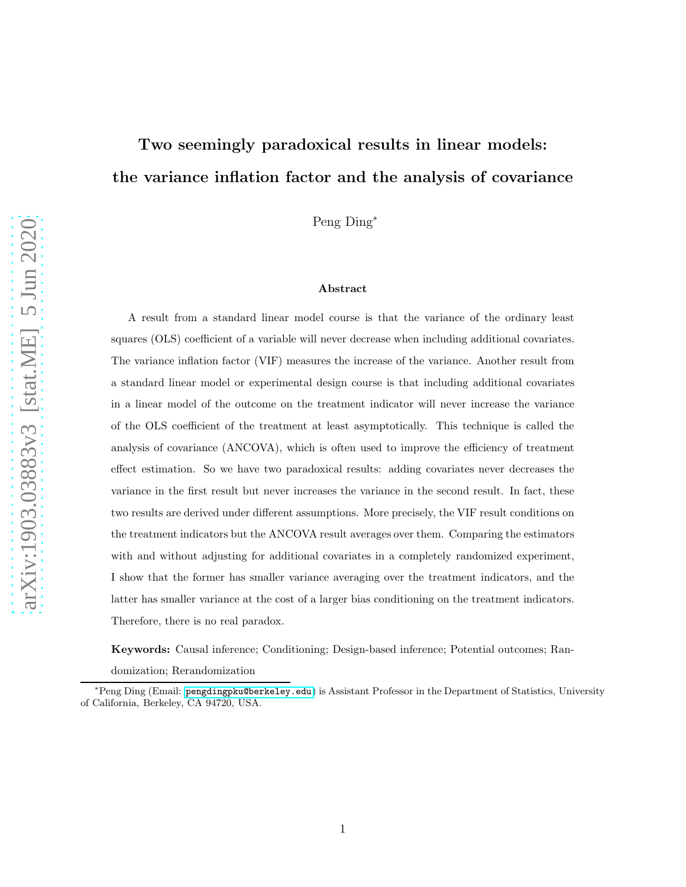# Two seemingly paradoxical results in linear models: the variance inflation factor and the analysis of covariance

Peng Ding<sup>∗</sup>

#### Abstract

A result from a standard linear model course is that the variance of the ordinary least squares (OLS) coefficient of a variable will never decrease when including additional covariates. The variance inflation factor (VIF) measures the increase of the variance. Another result from a standard linear model or experimental design course is that including additional covariates in a linear model of the outcome on the treatment indicator will never increase the variance of the OLS coefficient of the treatment at least asymptotically. This technique is called the analysis of covariance (ANCOVA), which is often used to improve the efficiency of treatment effect estimation. So we have two paradoxical results: adding covariates never decreases the variance in the first result but never increases the variance in the second result. In fact, these two results are derived under different assumptions. More precisely, the VIF result conditions on the treatment indicators but the ANCOVA result averages over them. Comparing the estimators with and without adjusting for additional covariates in a completely randomized experiment, I show that the former has smaller variance averaging over the treatment indicators, and the latter has smaller variance at the cost of a larger bias conditioning on the treatment indicators. Therefore, there is no real paradox.

Keywords: Causal inference; Conditioning; Design-based inference; Potential outcomes; Ran-

domization; Rerandomization

<sup>∗</sup>Peng Ding (Email: <pengdingpku@berkeley.edu>) is Assistant Professor in the Department of Statistics, University of California, Berkeley, CA 94720, USA.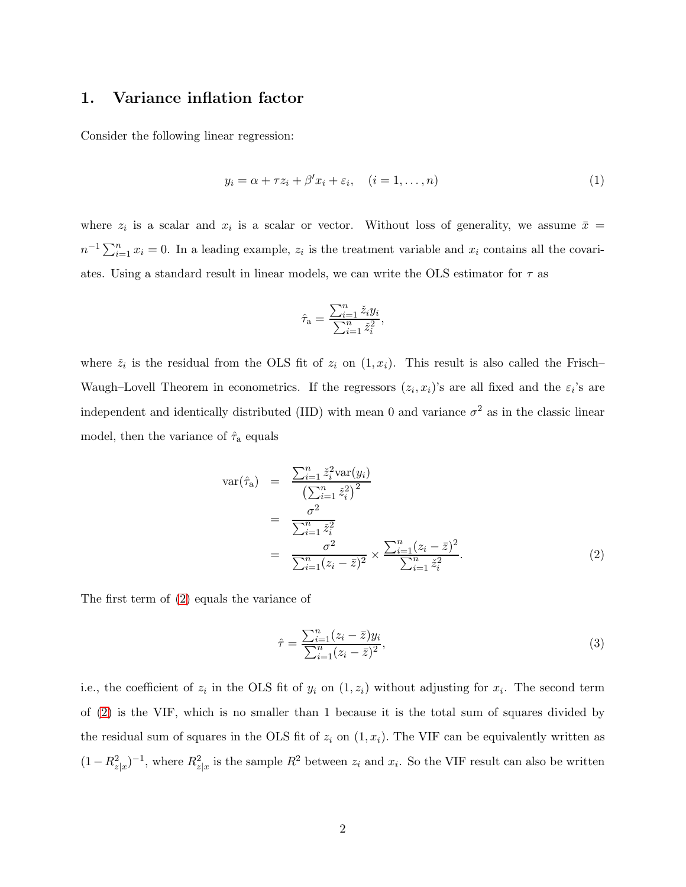## <span id="page-1-2"></span>1. Variance inflation factor

Consider the following linear regression:

<span id="page-1-1"></span>
$$
y_i = \alpha + \tau z_i + \beta' x_i + \varepsilon_i, \quad (i = 1, \dots, n)
$$
\n
$$
(1)
$$

where  $z_i$  is a scalar and  $x_i$  is a scalar or vector. Without loss of generality, we assume  $\bar{x}$  =  $n^{-1} \sum_{i=1}^{n} x_i = 0$ . In a leading example,  $z_i$  is the treatment variable and  $x_i$  contains all the covariates. Using a standard result in linear models, we can write the OLS estimator for  $\tau$  as

$$
\hat{\tau}_{\mathbf{a}} = \frac{\sum_{i=1}^{n} \check{z}_i y_i}{\sum_{i=1}^{n} \check{z}_i^2},
$$

where  $\check{z}_i$  is the residual from the OLS fit of  $z_i$  on  $(1, x_i)$ . This result is also called the Frisch-Waugh–Lovell Theorem in econometrics. If the regressors  $(z_i, x_i)$ 's are all fixed and the  $\varepsilon_i$ 's are independent and identically distributed (IID) with mean 0 and variance  $\sigma^2$  as in the classic linear model, then the variance of  $\hat{\tau}_a$  equals

<span id="page-1-0"></span>
$$
\begin{split} \text{var}(\hat{\tau}_{a}) &= \frac{\sum_{i=1}^{n} \tilde{z}_{i}^{2} \text{var}(y_{i})}{\left(\sum_{i=1}^{n} \tilde{z}_{i}^{2}\right)^{2}} \\ &= \frac{\sigma^{2}}{\sum_{i=1}^{n} \tilde{z}_{i}^{2}} \\ &= \frac{\sigma^{2}}{\sum_{i=1}^{n} (z_{i} - \bar{z})^{2}} \times \frac{\sum_{i=1}^{n} (z_{i} - \bar{z})^{2}}{\sum_{i=1}^{n} \tilde{z}_{i}^{2}} . \end{split} \tag{2}
$$

The first term of [\(2\)](#page-1-0) equals the variance of

<span id="page-1-3"></span>
$$
\hat{\tau} = \frac{\sum_{i=1}^{n} (z_i - \bar{z}) y_i}{\sum_{i=1}^{n} (z_i - \bar{z})^2},\tag{3}
$$

i.e., the coefficient of  $z_i$  in the OLS fit of  $y_i$  on  $(1, z_i)$  without adjusting for  $x_i$ . The second term of [\(2\)](#page-1-0) is the VIF, which is no smaller than 1 because it is the total sum of squares divided by the residual sum of squares in the OLS fit of  $z_i$  on  $(1, x_i)$ . The VIF can be equivalently written as  $(1 - R_{z|x}^2)^{-1}$ , where  $R_{z|x}^2$  is the sample  $R^2$  between  $z_i$  and  $x_i$ . So the VIF result can also be written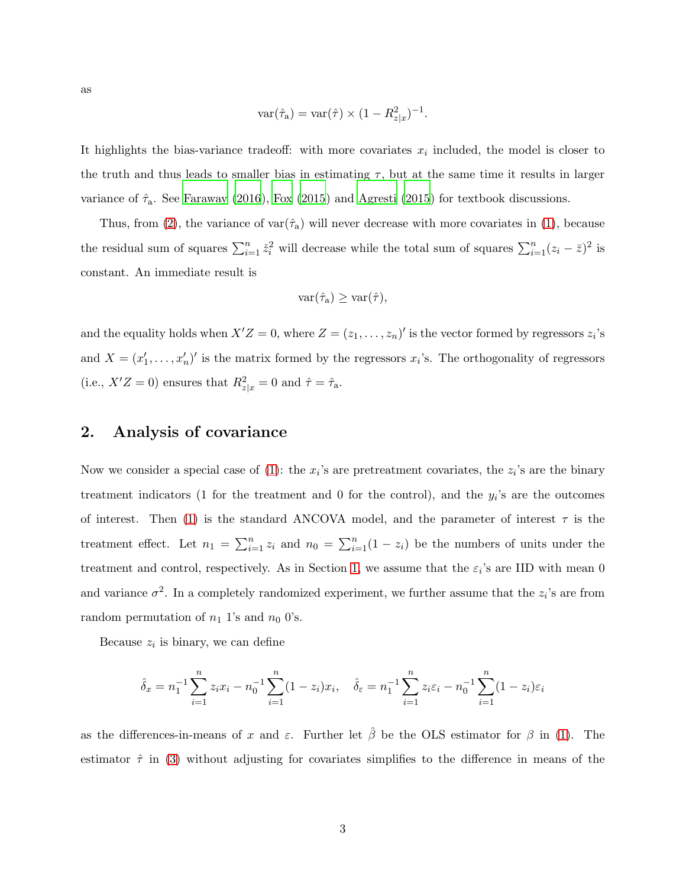as

$$
\text{var}(\hat{\tau}_a) = \text{var}(\hat{\tau}) \times (1 - R_{z|x}^2)^{-1}.
$$

It highlights the bias-variance tradeoff: with more covariates  $x_i$  included, the model is closer to the truth and thus leads to smaller bias in estimating  $\tau$ , but at the same time it results in larger variance of  $\hat{\tau}_a$ . See [Faraway \(2016](#page-10-0)), [Fox \(2015\)](#page-10-1) and [Agresti \(2015](#page-10-2)) for textbook discussions.

Thus, from [\(2\)](#page-1-0), the variance of var $(\hat{\tau}_a)$  will never decrease with more covariates in [\(1\)](#page-1-1), because the residual sum of squares  $\sum_{i=1}^{n} \tilde{z}_i^2$  will decrease while the total sum of squares  $\sum_{i=1}^{n} (z_i - \bar{z})^2$  is constant. An immediate result is

$$
\text{var}(\hat{\tau}_a) \geq \text{var}(\hat{\tau}),
$$

and the equality holds when  $X'Z = 0$ , where  $Z = (z_1, \ldots, z_n)'$  is the vector formed by regressors  $z_i$ 's and  $X = (x'_1, \ldots, x'_n)'$  is the matrix formed by the regressors  $x_i$ 's. The orthogonality of regressors (i.e.,  $X'Z = 0$ ) ensures that  $R_{z|x}^2 = 0$  and  $\hat{\tau} = \hat{\tau}_a$ .

## <span id="page-2-0"></span>2. Analysis of covariance

Now we consider a special case of [\(1\)](#page-1-1): the  $x_i$ 's are pretreatment covariates, the  $z_i$ 's are the binary treatment indicators (1 for the treatment and 0 for the control), and the  $y_i$ 's are the outcomes of interest. Then [\(1\)](#page-1-1) is the standard ANCOVA model, and the parameter of interest  $\tau$  is the treatment effect. Let  $n_1 = \sum_{i=1}^n z_i$  and  $n_0 = \sum_{i=1}^n (1 - z_i)$  be the numbers of units under the treatment and control, respectively. As in Section [1,](#page-1-2) we assume that the  $\varepsilon_i$ 's are IID with mean 0 and variance  $\sigma^2$ . In a completely randomized experiment, we further assume that the  $z_i$ 's are from random permutation of  $n_1$  1's and  $n_0$  0's.

Because  $z_i$  is binary, we can define

$$
\hat{\delta}_x = n_1^{-1} \sum_{i=1}^n z_i x_i - n_0^{-1} \sum_{i=1}^n (1 - z_i) x_i, \quad \hat{\delta}_\varepsilon = n_1^{-1} \sum_{i=1}^n z_i \varepsilon_i - n_0^{-1} \sum_{i=1}^n (1 - z_i) \varepsilon_i
$$

as the differences-in-means of x and  $\varepsilon$ . Further let  $\hat{\beta}$  be the OLS estimator for  $\beta$  in [\(1\)](#page-1-1). The estimator  $\hat{\tau}$  in [\(3\)](#page-1-3) without adjusting for covariates simplifies to the difference in means of the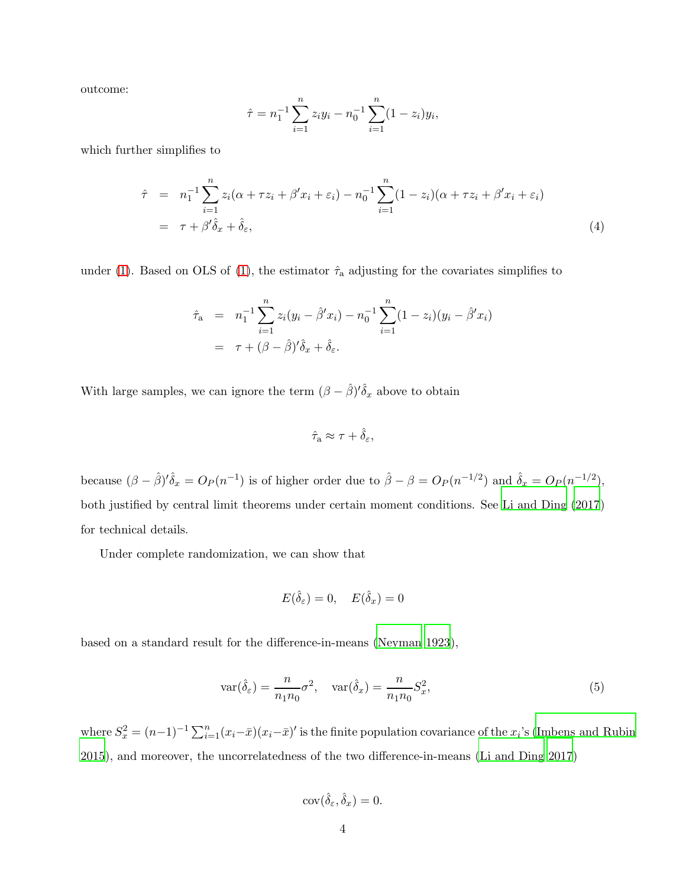outcome:

$$
\hat{\tau} = n_1^{-1} \sum_{i=1}^n z_i y_i - n_0^{-1} \sum_{i=1}^n (1 - z_i) y_i,
$$

which further simplifies to

<span id="page-3-0"></span>
$$
\hat{\tau} = n_1^{-1} \sum_{i=1}^n z_i (\alpha + \tau z_i + \beta' x_i + \varepsilon_i) - n_0^{-1} \sum_{i=1}^n (1 - z_i)(\alpha + \tau z_i + \beta' x_i + \varepsilon_i)
$$
  
=  $\tau + \beta' \hat{\delta}_x + \hat{\delta}_\varepsilon,$  (4)

under [\(1\)](#page-1-1). Based on OLS of (1), the estimator  $\hat{\tau}_a$  adjusting for the covariates simplifies to

$$
\hat{\tau}_{a} = n_{1}^{-1} \sum_{i=1}^{n} z_{i} (y_{i} - \hat{\beta}^{\prime} x_{i}) - n_{0}^{-1} \sum_{i=1}^{n} (1 - z_{i}) (y_{i} - \hat{\beta}^{\prime} x_{i})
$$
\n
$$
= \tau + (\beta - \hat{\beta})^{\prime} \hat{\delta}_{x} + \hat{\delta}_{\varepsilon}.
$$

With large samples, we can ignore the term  $(\beta - \hat{\beta})' \hat{\delta}_x$  above to obtain

$$
\hat{\tau}_{\rm a} \approx \tau + \hat{\delta}_\varepsilon,
$$

because  $(\beta - \hat{\beta})' \hat{\delta}_x = O_P(n^{-1})$  is of higher order due to  $\hat{\beta} - \beta = O_P(n^{-1/2})$  and  $\hat{\delta}_x = O_P(n^{-1/2})$ , both justified by central limit theorems under certain moment conditions. See [Li and Ding \(2017](#page-11-0)) for technical details.

Under complete randomization, we can show that

$$
E(\hat{\delta}_{\varepsilon}) = 0, \quad E(\hat{\delta}_x) = 0
$$

based on a standard result for the difference-in-means [\(Neyman 1923](#page-11-1)),

$$
\operatorname{var}(\hat{\delta}_{\varepsilon}) = \frac{n}{n_1 n_0} \sigma^2, \quad \operatorname{var}(\hat{\delta}_x) = \frac{n}{n_1 n_0} S_x^2,\tag{5}
$$

where  $S_x^2 = (n-1)^{-1} \sum_{i=1}^n (x_i - \bar{x})(x_i - \bar{x})'$  is the finite population covariance of the  $x_i$ 's [\(Imbens and Rubin](#page-11-2) [2015\)](#page-11-2), and moreover, the uncorrelatedness of the two difference-in-means [\(Li and Ding 2017](#page-11-0))

$$
cov(\hat{\delta}_{\varepsilon}, \hat{\delta}_x) = 0.
$$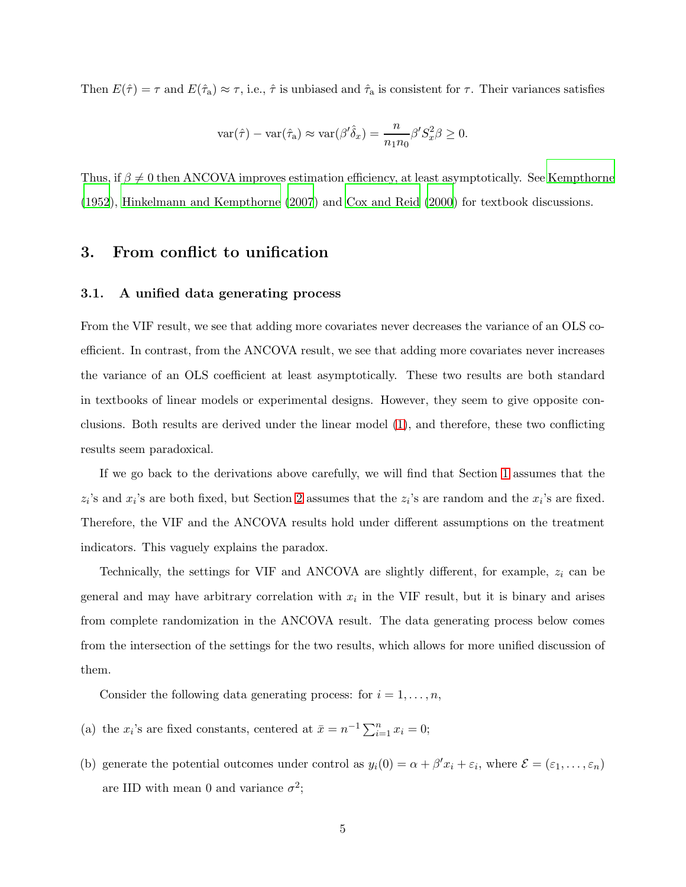Then  $E(\hat{\tau}) = \tau$  and  $E(\hat{\tau}_a) \approx \tau$ , i.e.,  $\hat{\tau}$  is unbiased and  $\hat{\tau}_a$  is consistent for  $\tau$ . Their variances satisfies

$$
\text{var}(\hat{\tau}) - \text{var}(\hat{\tau}_a) \approx \text{var}(\beta' \hat{\delta}_x) = \frac{n}{n_1 n_0} \beta' S_x^2 \beta \ge 0.
$$

Thus, if  $\beta \neq 0$  then ANCOVA improves estimation efficiency, at least asymptotically. See [Kempthorne](#page-11-3) [\(1952](#page-11-3)), [Hinkelmann and Kempthorne \(2007](#page-11-4)) and [Cox and Reid \(2000](#page-10-3)) for textbook discussions.

## <span id="page-4-1"></span>3. From conflict to unification

#### 3.1. A unified data generating process

From the VIF result, we see that adding more covariates never decreases the variance of an OLS coefficient. In contrast, from the ANCOVA result, we see that adding more covariates never increases the variance of an OLS coefficient at least asymptotically. These two results are both standard in textbooks of linear models or experimental designs. However, they seem to give opposite conclusions. Both results are derived under the linear model [\(1\)](#page-1-1), and therefore, these two conflicting results seem paradoxical.

If we go back to the derivations above carefully, we will find that Section [1](#page-1-2) assumes that the  $z_i$ 's and  $x_i$ 's are both fixed, but Section [2](#page-2-0) assumes that the  $z_i$ 's are random and the  $x_i$ 's are fixed. Therefore, the VIF and the ANCOVA results hold under different assumptions on the treatment indicators. This vaguely explains the paradox.

Technically, the settings for VIF and ANCOVA are slightly different, for example,  $z_i$  can be general and may have arbitrary correlation with  $x_i$  in the VIF result, but it is binary and arises from complete randomization in the ANCOVA result. The data generating process below comes from the intersection of the settings for the two results, which allows for more unified discussion of them.

<span id="page-4-2"></span>Consider the following data generating process: for  $i = 1, \ldots, n$ ,

- <span id="page-4-0"></span>(a) the  $x_i$ 's are fixed constants, centered at  $\bar{x} = n^{-1} \sum_{i=1}^n x_i = 0$ ;
- (b) generate the potential outcomes under control as  $y_i(0) = \alpha + \beta' x_i + \varepsilon_i$ , where  $\mathcal{E} = (\varepsilon_1, \dots, \varepsilon_n)$ are IID with mean 0 and variance  $\sigma^2$ ;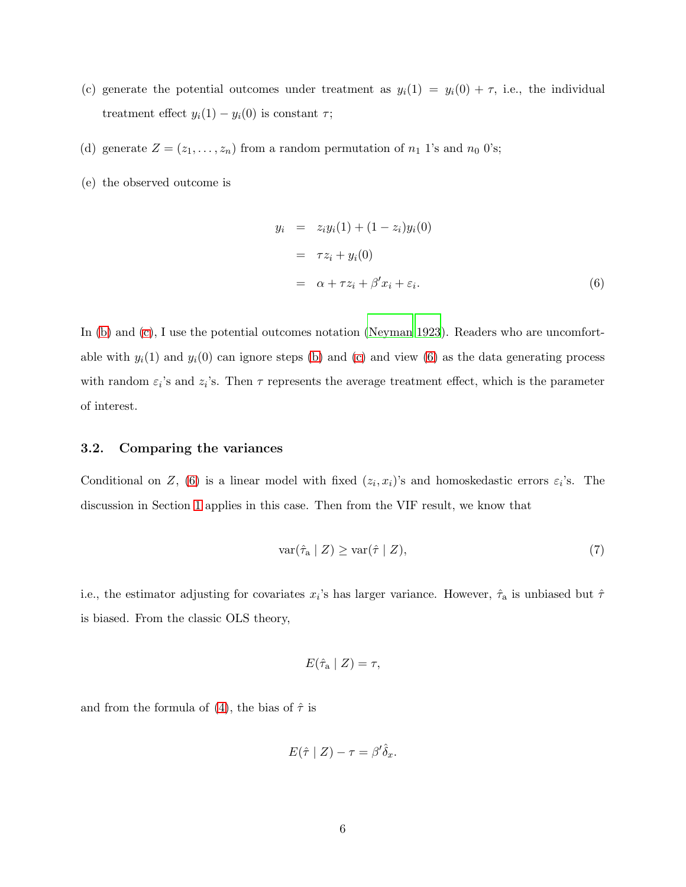- <span id="page-5-4"></span><span id="page-5-0"></span>(c) generate the potential outcomes under treatment as  $y_i(1) = y_i(0) + \tau$ , i.e., the individual treatment effect  $y_i(1) - y_i(0)$  is constant  $\tau$ ;
- <span id="page-5-3"></span>(d) generate  $Z = (z_1, \ldots, z_n)$  from a random permutation of  $n_1$  1's and  $n_0$  0's;
- (e) the observed outcome is

<span id="page-5-1"></span>
$$
y_i = z_i y_i(1) + (1 - z_i) y_i(0)
$$
  
=  $\tau z_i + y_i(0)$   
=  $\alpha + \tau z_i + \beta' x_i + \varepsilon_i.$  (6)

In [\(b\)](#page-4-0) and [\(c\)](#page-5-0), I use the potential outcomes notation [\(Neyman](#page-11-1) [1923](#page-11-1)). Readers who are uncomfortable with  $y_i(1)$  and  $y_i(0)$  can ignore steps [\(b\)](#page-4-0) and [\(c\)](#page-5-0) and view [\(6\)](#page-5-1) as the data generating process with random  $\varepsilon_i$ 's and  $z_i$ 's. Then  $\tau$  represents the average treatment effect, which is the parameter of interest.

#### 3.2. Comparing the variances

Conditional on Z, [\(6\)](#page-5-1) is a linear model with fixed  $(z_i, x_i)$ 's and homoskedastic errors  $\varepsilon_i$ 's. The discussion in Section [1](#page-1-2) applies in this case. Then from the VIF result, we know that

<span id="page-5-2"></span>
$$
\text{var}(\hat{\tau}_a \mid Z) \ge \text{var}(\hat{\tau} \mid Z),\tag{7}
$$

i.e., the estimator adjusting for covariates  $x_i$ 's has larger variance. However,  $\hat{\tau}_a$  is unbiased but  $\hat{\tau}$ is biased. From the classic OLS theory,

$$
E(\hat{\tau}_a \mid Z) = \tau,
$$

and from the formula of [\(4\)](#page-3-0), the bias of  $\hat{\tau}$  is

$$
E(\hat{\tau} \mid Z) - \tau = \beta' \hat{\delta}_x.
$$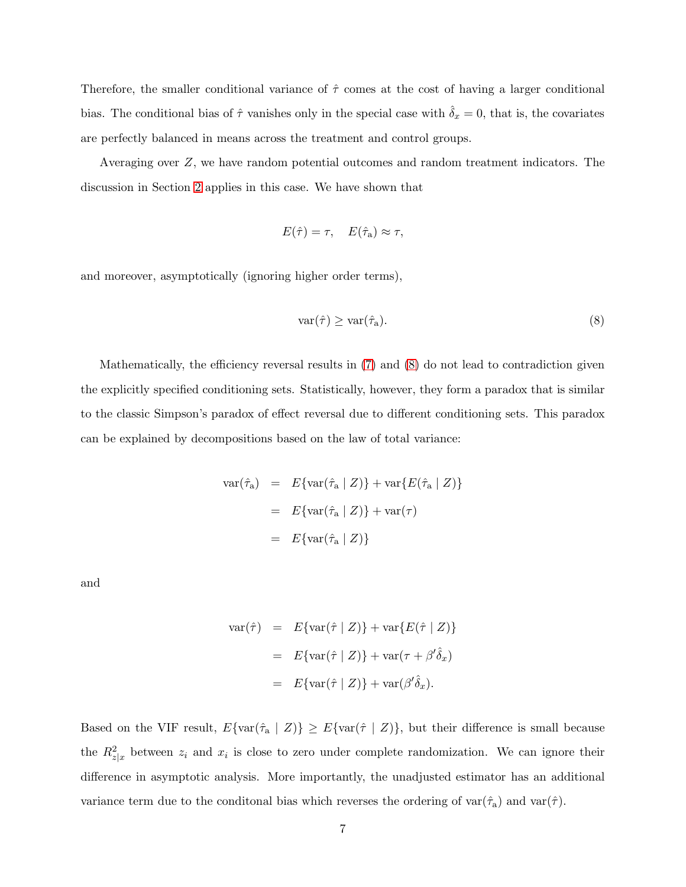Therefore, the smaller conditional variance of  $\hat{\tau}$  comes at the cost of having a larger conditional bias. The conditional bias of  $\hat{\tau}$  vanishes only in the special case with  $\hat{\delta}_x = 0$ , that is, the covariates are perfectly balanced in means across the treatment and control groups.

Averaging over Z, we have random potential outcomes and random treatment indicators. The discussion in Section [2](#page-2-0) applies in this case. We have shown that

$$
E(\hat{\tau}) = \tau, \quad E(\hat{\tau}_a) \approx \tau,
$$

and moreover, asymptotically (ignoring higher order terms),

<span id="page-6-0"></span>
$$
\text{var}(\hat{\tau}) \ge \text{var}(\hat{\tau}_a). \tag{8}
$$

Mathematically, the efficiency reversal results in  $(7)$  and  $(8)$  do not lead to contradiction given the explicitly specified conditioning sets. Statistically, however, they form a paradox that is similar to the classic Simpson's paradox of effect reversal due to different conditioning sets. This paradox can be explained by decompositions based on the law of total variance:

$$
\begin{aligned} \text{var}(\hat{\tau}_a) &= E\{\text{var}(\hat{\tau}_a \mid Z)\} + \text{var}\{E(\hat{\tau}_a \mid Z)\} \\ &= E\{\text{var}(\hat{\tau}_a \mid Z)\} + \text{var}(\tau) \\ &= E\{\text{var}(\hat{\tau}_a \mid Z)\} \end{aligned}
$$

and

$$
\begin{aligned} \text{var}(\hat{\tau}) &= E\{\text{var}(\hat{\tau} \mid Z)\} + \text{var}\{E(\hat{\tau} \mid Z)\} \\ &= E\{\text{var}(\hat{\tau} \mid Z)\} + \text{var}(\tau + \beta'\hat{\delta}_x) \\ &= E\{\text{var}(\hat{\tau} \mid Z)\} + \text{var}(\beta'\hat{\delta}_x). \end{aligned}
$$

Based on the VIF result,  $E\{\text{var}(\hat{\tau}_a \mid Z)\} \ge E\{\text{var}(\hat{\tau} \mid Z)\}\$ , but their difference is small because the  $R_{z|x}^2$  between  $z_i$  and  $x_i$  is close to zero under complete randomization. We can ignore their difference in asymptotic analysis. More importantly, the unadjusted estimator has an additional variance term due to the conditional bias which reverses the ordering of  $var(\hat{\tau}_a)$  and  $var(\hat{\tau})$ .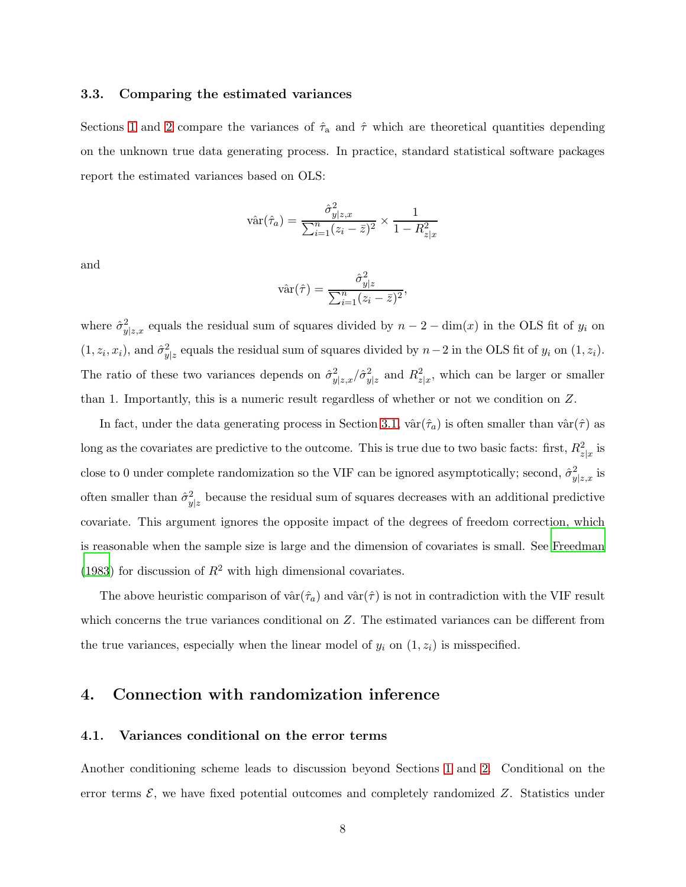#### <span id="page-7-0"></span>3.3. Comparing the estimated variances

Sections [1](#page-1-2) and [2](#page-2-0) compare the variances of  $\hat{\tau}_a$  and  $\hat{\tau}$  which are theoretical quantities depending on the unknown true data generating process. In practice, standard statistical software packages report the estimated variances based on OLS:

$$
\hat{\text{var}}(\hat{\tau}_a) = \frac{\hat{\sigma}_{y|z,x}^2}{\sum_{i=1}^n (z_i - \bar{z})^2} \times \frac{1}{1 - R_{z|x}^2}
$$

and

$$
\hat{\text{var}}(\hat{\tau}) = \frac{\hat{\sigma}_{y|z}^2}{\sum_{i=1}^n (z_i - \bar{z})^2},
$$

where  $\hat{\sigma}_y^2$  $y|z,x$  equals the residual sum of squares divided by  $n-2-\dim(x)$  in the OLS fit of  $y_i$  on  $(1, z_i, x_i)$ , and  $\hat{\sigma}_y^2$  $y_{|z}^2$  equals the residual sum of squares divided by  $n-2$  in the OLS fit of  $y_i$  on  $(1, z_i)$ . The ratio of these two variances depends on  $\hat{\sigma}_y^2$  $\frac{2}{y|z,x}/\hat{\sigma}_y^2$  $y|z$  and  $R_{z|x}^2$ , which can be larger or smaller than 1. Importantly, this is a numeric result regardless of whether or not we condition on Z.

In fact, under the data generating process in Section [3.1,](#page-4-1)  $\hat{\text{var}}(\hat{\tau}_a)$  is often smaller than  $\hat{\text{var}}(\hat{\tau})$  as long as the covariates are predictive to the outcome. This is true due to two basic facts: first,  $R_{z|x}^2$  is close to 0 under complete randomization so the VIF can be ignored asymptotically; second,  $\hat{\sigma}_{n}^{2}$  $_{y|z,x}^{2}$  is often smaller than  $\hat{\sigma}_y^2$  $y_{z}^{2}$  because the residual sum of squares decreases with an additional predictive covariate. This argument ignores the opposite impact of the degrees of freedom correction, which is reasonable when the sample size is large and the dimension of covariates is small. See [Freedman](#page-10-4) [\(1983](#page-10-4)) for discussion of  $R^2$  with high dimensional covariates.

The above heuristic comparison of  $\hat{\text{var}}(\hat{\tau}_a)$  and  $\hat{\text{var}}(\hat{\tau})$  is not in contradiction with the VIF result which concerns the true variances conditional on Z. The estimated variances can be different from the true variances, especially when the linear model of  $y_i$  on  $(1, z_i)$  is misspecified.

## 4. Connection with randomization inference

#### 4.1. Variances conditional on the error terms

Another conditioning scheme leads to discussion beyond Sections [1](#page-1-2) and [2.](#page-2-0) Conditional on the error terms  $\mathcal{E}$ , we have fixed potential outcomes and completely randomized  $Z$ . Statistics under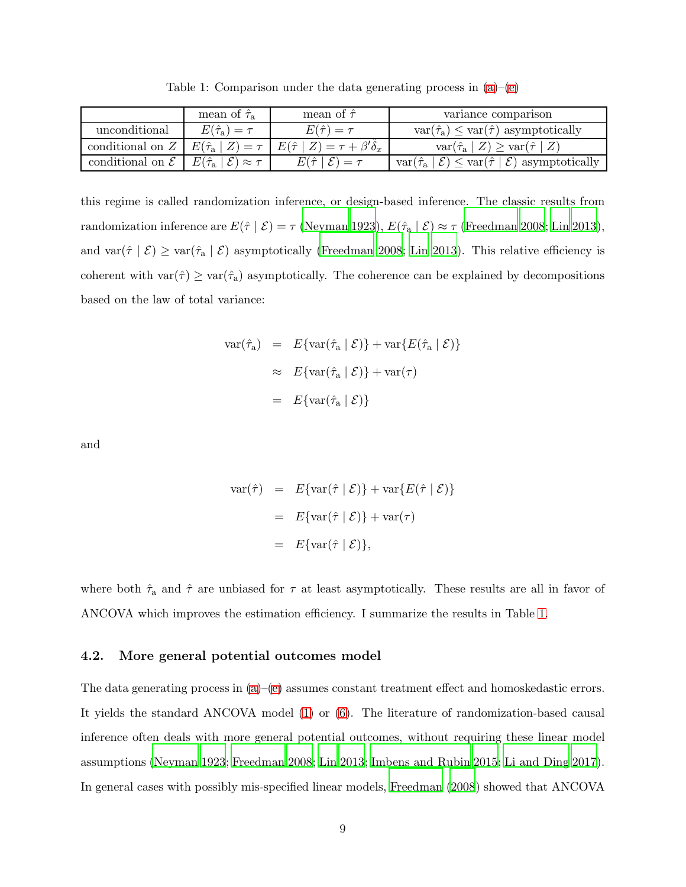<span id="page-8-0"></span>

|                             | mean of $\hat{\tau}_a$                                        | mean of $\hat{\tau}$                                                      | variance comparison                                                                                     |
|-----------------------------|---------------------------------------------------------------|---------------------------------------------------------------------------|---------------------------------------------------------------------------------------------------------|
| unconditional               | $E(\hat{\tau}_a)=\tau$                                        | $E(\hat{\tau}) = \tau$                                                    | $\text{var}(\hat{\tau}_a) \leq \text{var}(\hat{\tau})$ asymptotically                                   |
| conditional on $Z$          |                                                               | $E(\hat{\tau}_a   Z) = \tau   E(\hat{\tau}   Z) = \tau + \beta' \delta_x$ | $\text{var}(\hat{\tau}_a   Z) \geq \text{var}(\hat{\tau}   Z)$                                          |
| conditional on $\mathcal E$ | $E(\hat{\tau}_a  $<br>$\mathcal{E}(\mathcal{E}) \approx \tau$ | $E(\hat{\tau}   \mathcal{E}) = \tau$                                      | $\text{var}(\hat{\tau}_a \mid \mathcal{E}) \leq \text{var}(\hat{\tau} \mid \mathcal{E})$ asymptotically |

Table 1: Comparison under the data generating process in  $(a)$ – $(e)$ 

this regime is called randomization inference, or design-based inference. The classic results from randomization inference are  $E(\hat{\tau} | \mathcal{E}) = \tau$  [\(Neyman 1923](#page-11-1)),  $E(\hat{\tau}_a | \mathcal{E}) \approx \tau$  [\(Freedman 2008](#page-10-5); [Lin 2013\)](#page-11-5), and var $(\hat{\tau} \mid \mathcal{E}) \geq \text{var}(\hat{\tau}_a \mid \mathcal{E})$  asymptotically [\(Freedman 2008](#page-10-5); [Lin 2013\)](#page-11-5). This relative efficiency is coherent with  $var(\hat{\tau}) \geq var(\hat{\tau}_a)$  asymptotically. The coherence can be explained by decompositions based on the law of total variance:

$$
\begin{aligned}\n\text{var}(\hat{\tau}_a) &= E\{\text{var}(\hat{\tau}_a \mid \mathcal{E})\} + \text{var}\{E(\hat{\tau}_a \mid \mathcal{E})\} \\
&\approx E\{\text{var}(\hat{\tau}_a \mid \mathcal{E})\} + \text{var}(\tau) \\
&= E\{\text{var}(\hat{\tau}_a \mid \mathcal{E})\}\n\end{aligned}
$$

and

$$
\begin{aligned} \text{var}(\hat{\tau}) &= E\{\text{var}(\hat{\tau} \mid \mathcal{E})\} + \text{var}\{E(\hat{\tau} \mid \mathcal{E})\} \\ &= E\{\text{var}(\hat{\tau} \mid \mathcal{E})\} + \text{var}(\tau) \\ &= E\{\text{var}(\hat{\tau} \mid \mathcal{E})\}, \end{aligned}
$$

where both  $\hat{\tau}_a$  and  $\hat{\tau}$  are unbiased for  $\tau$  at least asymptotically. These results are all in favor of ANCOVA which improves the estimation efficiency. I summarize the results in Table [1.](#page-8-0)

#### 4.2. More general potential outcomes model

The data generating process in  $(a)$ –[\(e\)](#page-5-3) assumes constant treatment effect and homoskedastic errors. It yields the standard ANCOVA model [\(1\)](#page-1-1) or [\(6\)](#page-5-1). The literature of randomization-based causal inference often deals with more general potential outcomes, without requiring these linear model assumptions [\(Neyman 1923](#page-11-1); [Freedman 2008;](#page-10-5) [Lin 2013](#page-11-5); [Imbens and Rubin 2015](#page-11-2); [Li and Ding 2017\)](#page-11-0). In general cases with possibly mis-specified linear models, [Freedman \(2008](#page-10-5)) showed that ANCOVA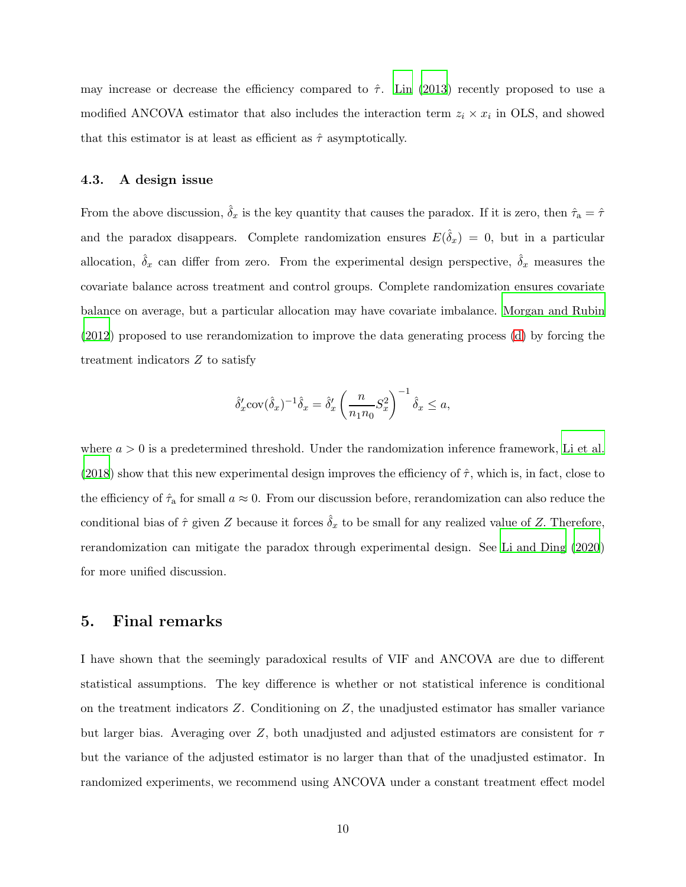may increase or decrease the efficiency compared to  $\hat{\tau}$ . [Lin \(2013](#page-11-5)) recently proposed to use a modified ANCOVA estimator that also includes the interaction term  $z_i \times x_i$  in OLS, and showed that this estimator is at least as efficient as  $\hat{\tau}$  asymptotically.

#### 4.3. A design issue

From the above discussion,  $\hat{\delta}_x$  is the key quantity that causes the paradox. If it is zero, then  $\hat{\tau}_a = \hat{\tau}$ and the paradox disappears. Complete randomization ensures  $E(\hat{\delta}_x) = 0$ , but in a particular allocation,  $\hat{\delta}_x$  can differ from zero. From the experimental design perspective,  $\hat{\delta}_x$  measures the covariate balance across treatment and control groups. Complete randomization ensures covariate balance on average, but a particular allocation may have covariate imbalance. [Morgan and Rubin](#page-11-6) [\(2012](#page-11-6)) proposed to use rerandomization to improve the data generating process [\(d\)](#page-5-4) by forcing the treatment indicators Z to satisfy

$$
\hat{\delta}_x' \operatorname{cov}(\hat{\delta}_x)^{-1} \hat{\delta}_x = \hat{\delta}_x' \left(\frac{n}{n_1 n_0} S_x^2\right)^{-1} \hat{\delta}_x \le a,
$$

where  $a > 0$  is a predetermined threshold. Under the randomization inference framework, [Li et al.](#page-11-7) [\(2018](#page-11-7)) show that this new experimental design improves the efficiency of  $\hat{\tau}$ , which is, in fact, close to the efficiency of  $\hat{\tau}_a$  for small  $a \approx 0$ . From our discussion before, rerandomization can also reduce the conditional bias of  $\hat{\tau}$  given Z because it forces  $\hat{\delta}_x$  to be small for any realized value of Z. Therefore, rerandomization can mitigate the paradox through experimental design. See [Li and Ding \(2020](#page-11-8)) for more unified discussion.

## 5. Final remarks

I have shown that the seemingly paradoxical results of VIF and ANCOVA are due to different statistical assumptions. The key difference is whether or not statistical inference is conditional on the treatment indicators  $Z$ . Conditioning on  $Z$ , the unadjusted estimator has smaller variance but larger bias. Averaging over Z, both unadjusted and adjusted estimators are consistent for  $\tau$ but the variance of the adjusted estimator is no larger than that of the unadjusted estimator. In randomized experiments, we recommend using ANCOVA under a constant treatment effect model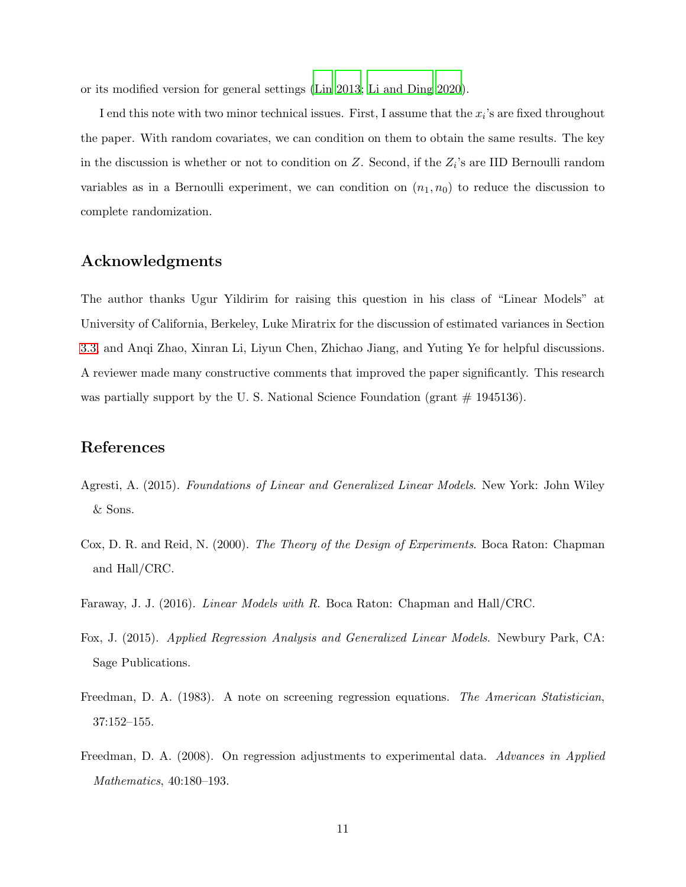or its modified version for general settings [\(Lin 2013](#page-11-5); [Li and](#page-11-8) Ding [2020\)](#page-11-8).

I end this note with two minor technical issues. First, I assume that the  $x_i$ 's are fixed throughout the paper. With random covariates, we can condition on them to obtain the same results. The key in the discussion is whether or not to condition on  $Z$ . Second, if the  $Z_i$ 's are IID Bernoulli random variables as in a Bernoulli experiment, we can condition on  $(n_1, n_0)$  to reduce the discussion to complete randomization.

# Acknowledgments

The author thanks Ugur Yildirim for raising this question in his class of "Linear Models" at University of California, Berkeley, Luke Miratrix for the discussion of estimated variances in Section [3.3,](#page-7-0) and Anqi Zhao, Xinran Li, Liyun Chen, Zhichao Jiang, and Yuting Ye for helpful discussions. A reviewer made many constructive comments that improved the paper significantly. This research was partially support by the U.S. National Science Foundation (grant  $\#$  1945136).

# References

- <span id="page-10-2"></span>Agresti, A. (2015). *Foundations of Linear and Generalized Linear Models*. New York: John Wiley & Sons.
- <span id="page-10-3"></span>Cox, D. R. and Reid, N. (2000). *The Theory of the Design of Experiments*. Boca Raton: Chapman and Hall/CRC.
- <span id="page-10-0"></span>Faraway, J. J. (2016). *Linear Models with R*. Boca Raton: Chapman and Hall/CRC.
- <span id="page-10-1"></span>Fox, J. (2015). *Applied Regression Analysis and Generalized Linear Models*. Newbury Park, CA: Sage Publications.
- <span id="page-10-4"></span>Freedman, D. A. (1983). A note on screening regression equations. *The American Statistician*, 37:152–155.
- <span id="page-10-5"></span>Freedman, D. A. (2008). On regression adjustments to experimental data. *Advances in Applied Mathematics*, 40:180–193.